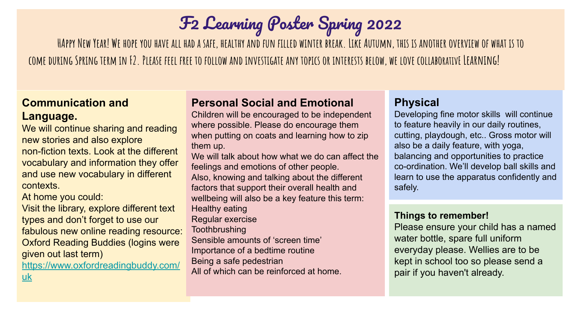# F2 Learning Poster Spring 2022

**HAppy New Year! We hope you have all had a safe, healthy and fun filled winter break. Like Autumn, this is another overview of what is to come during Spring term in F2. Please feel free to follow and investigate any topics or interests below, we love collaborativE Learning!**

# **Communication and Language.**

We will continue sharing and reading new stories and also explore non-fiction texts. Look at the different vocabulary and information they offer and use new vocabulary in different contexts.

At home you could:

Visit the library, explore different text types and don't forget to use our fabulous new online reading resource: Oxford Reading Buddies (logins were given out last term) [https://www.oxfordreadingbuddy.com/](https://www.oxfordreadingbuddy.com/uk)

[uk](https://www.oxfordreadingbuddy.com/uk)

# **Personal Social and Emotional**

Children will be encouraged to be independent where possible. Please do encourage them when putting on coats and learning how to zip them up.

We will talk about how what we do can affect the feelings and emotions of other people. Also, knowing and talking about the different factors that support their overall health and wellbeing will also be a key feature this term: Healthy eating Regular exercise **Toothbrushing** Sensible amounts of 'screen time' Importance of a bedtime routine Being a safe pedestrian All of which can be reinforced at home.

# **Physical**

Developing fine motor skills will continue to feature heavily in our daily routines, cutting, playdough, etc.. Gross motor will also be a daily feature, with yoga, balancing and opportunities to practice co-ordination. We'll develop ball skills and learn to use the apparatus confidently and safely.

#### **Things to remember!**

Please ensure your child has a named water bottle, spare full uniform everyday please. Wellies are to be kept in school too so please send a pair if you haven't already.